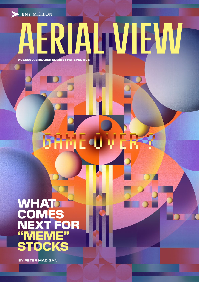**BNY MELLON** 

# ERIALIVIEW

ACCESS A BROADER MARKET PERSPECTIVE

# mE4 y ER

# **WHAT COMES** NEXT FOR "MEME" **STOCKS**

 **BY PETER MADIGAN**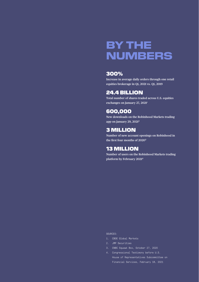# BY THE NUMBERS

# 300%

**Increase in average daily orders through one retail equities brokerage in Q1, 2021 vs. Q1, 2019**

# 24.4 BILLION

**Total number of shares traded across U.S. equities exchanges on January 27, 20211**

# 600,000

**New downloads on the Robinhood Markets trading app on January 29, 20212**

# 3 MILLION

**Number of new account openings on Robinhood in the first four months of 20203**

# 13 MILLION

**Number of users on the Robinhood Markets trading platform by February 20214**

### SOURCES:

- 1. CBOE Global Markets
- 2. JMP Securities
- 3. CNBC Squawk Box, October 27, 2020
- 4. Congressional Testimony before U.S. House of Representatives Subcommittee on Financial Services, February 18, 2021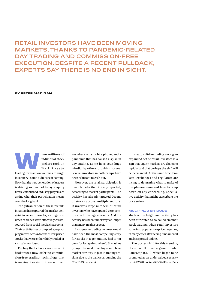# RETAIL INVESTORS HAVE BEEN MOVING MARKETS, THANKS TO PANDEMIC-RELATED DAY TRADING AND COMMISSION-FREE EXECUTION. DESPITE A RECENT PULLBACK, EXPERTS SAY THERE IS NO END IN SIGHT.

# **BY PETER MADIGAN**

Main millions of<br>
individual stock<br>
pickers took on<br>
Wall Street-<br>
leading transaction volumes to surge individual stock pickers took on Wall  $Street -$ 

in January—some didn't see it coming. Now that the new generation of traders is driving so much of today's equity flows, established industry players are asking what their participation means over the long haul.

The galvanization of these "retail" investors has captured the market zeitgeist in recent months, as huge volumes of trades were effectively crowdsourced from social media chat rooms. Their activity has prompted eye-popping moves across dozens of low-priced stocks that were either thinly traded or virtually moribund.

Fueling the behavior are discount brokerages now offering commission-free trading; technology that is making it easier to transact from

anywhere on a mobile phone; and a pandemic that has caused a spike in day-trading. Some have seen huge windfalls; others crushing losses. Several investors in both camps have been reluctant to cash out.

Moreover, the retail participation is much broader than initially reported, according to market participants. The activity has already targeted dozens of stocks across multiple sectors. It involves large numbers of retail investors who have opened zero-commission brokerage accounts. And the activity has been underway far longer than many might suspect.

First-quarter trading volumes would have been the most compelling story for stocks in a generation, had it not been for last spring, when U.S. equities plunged from all-time highs into bear market territory in just 15 trading sessions due to the panic surrounding the COVID-19 pandemic.

Instead, cult-like trading among an expanded set of retail investors is a sign that equity markets are changing rapidly, and that perhaps the shift will be permanent. At the same time, brokers, exchanges and regulators are trying to determine what to make of the phenomenon and how to tamp down on any concerning, speculative activity that might exacerbate the price swings.

# **MULTI-PLAYER MODE**

Much of the heightened activity has been attributed to so-called "meme" stock trading, when retail investors surge into popular low-priced equities, in many cases after seeing fundamental analysis posted online.

The poster child for this trend is, of course, U.S. video game retailer GameStop (GME), which began to be promoted as an undervalued security in mid-2020 on Reddit's WallStreetBets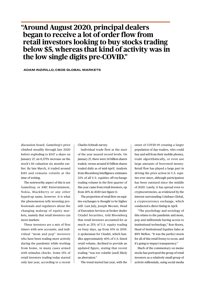# **"Around August 2020, principal dealers began to receive a lot of order flow from retail investors looking to buy stocks trading below \$5, whereas that kind of activity was in the low single digits pre-COVID."**

 **ADAM INZIRILLO, CBOE GLOBAL MARKETS**

discussion board. GameStop's price climbed steadily through late 2020 before exploding to \$347 a share on January 27, an 8,575% increase on the stock's \$4 valuation six months earlier. By late March, it traded around \$181 and remains volatile at the time of writing.

The noteworthy aspect of this is not GameStop, or AMC Entertainment, Nokia, BlackBerry or any other hyped-up name, however. It is what the phenomenon tells investing professionals and regulators about the changing makeup of equity markets, namely that retail investors can move markets.

These investors are a mix of first timers with new accounts, and individual "mom and pop" investors who have been trading more actively during the pandemic while working from home, in many cases armed with stimulus checks. Some 15% of retail investors trading today started only last year, according to a recent

Charles Schwab survey.

Individual trade flow at the start of the year neared record levels. On January 27, there were 24 billion shares traded, versus around 10 billion shares traded daily as of mid-April. Analysis from Bloomberg Intelligence estimates 23% of all U.S. equities off-exchange trading volume in the first quarter of this year came from retail investors, up from 20% in 2020 (see figure 1).

The proportion of retail flow on equities exchanges is thought to be higher still. Last July, Joseph Mecane, Head of Execution Services at broker dealer Citadel Securities, told Bloomberg that retail investors accounted for as much as 25% of U.S. equity trading on busy days, up from 10% in 2019. A spokesman for Citadel, which handles approximately 40% of U.S.-listed retail volume, declined to provide an updated figure, stating that recent trading "was too volatile [and] likely an aberration."

The trend started last year, with the

onset of COVID-19 creating a larger population of day traders, who could buy and sell from their mobile phones, trade algorithmically, or even use large amounts of borrowed money. Retail flow has played a large part in driving the price action in U.S. equities ever since, although participation has been outsized since the middle of 2020. Lately, it has spread even to cryptocurrencies, as evidenced by the interest surrounding Coinbase Global, a cryptocurrency exchange, which conducted a direct listing in April.

"The psychology and sociology of this relates to the pandemic and mom, pop and millennials having access to institutional technology," Ron Hooey, Head of Institutional Equities Sales at BNY Mellon. "It was the perfect storm for all of this retail frenzy to occur, and it's going to impact transparency."

Much of the commentary on meme stocks has portrayed the group of retail investors as a relatively small group of activist millennials, using social media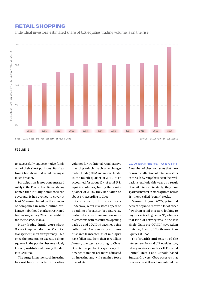# RETAIL SHOPPING

Individual investors' estimated share of U.S. equities trading volume is on the rise



Note: 2020 data are for January through June. SOURCE: BLOOMBERG INTELLIGENCE SOURCE: BLOOMBERG INTELLIGENCE

### FIGURE 1

to successfully squeeze hedge funds out of their short positions. But data from Cboe show that retail trading is much broader.

Participation is not concentrated solely in the 15 or so headline-grabbing names that initially dominated the coverage. It has evolved to cover at least 50 names, based on the number of companies in which online brokerage Robinhood Markets restricted trading on January 29 at the height of the meme stock mania.

Many hedge funds were short GameStop - Melvin Capital Management, most transparently — but once the potential to execute a short squeeze in the position became widely known, institutional money flooded into GME too.

The surge in meme stock investing has not been reflected in trading volumes for traditional retail passive investing vehicles such as exchangetraded funds (ETFs) and mutual funds. In the fourth quarter of 2019, ETFs accounted for about 12% of total U.S. equities volumes, but by the fourth quarter of 2020, they had fallen to about 6%, according to Cboe.

As the second quarter gets underway, retail investors appear to be taking a breather (see figure 2), perhaps because there are now more distractions with restaurants opening back up and COVID-19 vaccines being rolled out. Average daily volumes of shares transacted as of mid-April have fallen 38% from their 15.6 billion January average, according to Cboe. Despite this pullback, experts say the new set of traders are more educated on investing and will remain a force in markets.

### **LOW BARRIERS TO ENTRY**

A number of obscure names that have drawn the attention of retail investors in the sub-\$5 range have seen their valuations explode this year as a result of retail interest. Relatedly, they have sparked interest in stocks priced below \$1 – the so-called "penny" stocks.

"Around August 2020, principal dealers began to receive a lot of order flow from retail investors looking to buy stocks trading below \$5, whereas that kind of activity was in the low single digits pre-COVID," says Adam Inzirillo, Head of North American Equities at Cboe.

The breadth and extent of the interest goes beyond U.S. equities, too, taking in stocks such as U.K.-based Critical Metals and Canada-based Sundial Growers. Cboe observes that overseas retail flows have entered the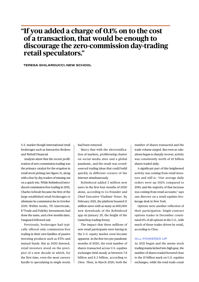# **"If you added a charge of 0.1% on to the cost of a transaction, that would be enough to discourage the zero-commission day-trading retail speculators."**

 **TERESA GHILARDUCCI, NEW SCHOOL**

U.S. market though international retail brokerages such as Interactive Brokers and Webull Financial

Analysts attest that the recent proliferation of zero-commission trading was the primary catalyst for the eruption in retail stock picking (see figure 3), along with a fear by day-traders of missing out on a quick win. While Robinhood introduced commission-free trading in 2015, Charles Schwab became the first of the large established retail brokerages to eliminate its commission fee in October 2019. Within weeks, TD Ameritrade, E\*Trade and Fidelity Investments had done the same, and a few months later, Vanguard followed suit.

Previously, brokerages had typically offered only commission-free trading in their own families of passive investing products such as ETFs and mutual funds. But as 2020 dawned, retail investors stood on the precipice of a new decade in which, for the first time, even the most cursory hurdle to speculating in single stocks had been removed.

Marry that with the electronification of markets, proliferating chatter on social media sites and a global pandemic, and the result was crowdsourced trading ideas that could build quickly in different corners of the internet simultaneously.

Robinhood added 3 million new users in the first four months of 2020 alone, according to Co-Founder and Chief Executive Vladimir Tenev. By February 2021, the platform boasted 13 million users with as many as 600,000 new downloads of the Robinhood app on January 29, the height of the GameStop trading frenzy.

The impact that these millions of new retail participants were having in the U.S. equity market soon became apparent. In the first two pre-pandemic months of 2020, the total number of shares transacted across U.S. equities exchanges held steady at between 7.8 billion and 8.3 billion, according to Cboe. Then, in March 2020, both the

number of shares transacted and the trade volume surged. But even as valuations began to sharply recover, activity was consistently north of 10 billion shares traded daily.

A significant part of this heightened activity was coming from retail investors and still is. "Our average daily orders were up 302% compared to 2019, and the majority of that increase was coming from retail accounts," says one director on a retail equities brokerage desk in New York.

Options were another reflection of their participation. Single-contract options trades in December constituted 8% of all options in the U.S., with much of those trades driven by retail, according to Cboe.

## **ALL POWERED UP**

As 2021 began and the meme stock trading mania kicked into high gear, the number of shares traded hovered close to the 15 billion mark on U.S. equities exchanges, while the total trade count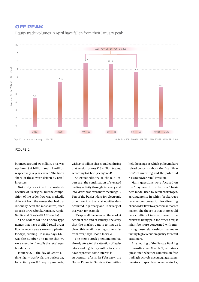# OFF PEAK

Equity trade volumes in April have fallen from their January peak



\*April data are through 4/14/21 SOURCE: CBOE GLOBAL MARKETS AND PIPER SANDLER & CO.

## FIGURE 2

bounced around 80 million. This was up from 8.4 billion and 43 million respectively, a year earlier. The lion's share of these were driven by retail investors.

Not only was the flow notable because of its origins, but the composition of the order flow was markedly different from the names that had traditionally been the most active, such as Tesla or Facebook, Amazon, Apple, Netflix and Google (FAANG stocks).

"The orders for the FAANG-type names that have typified retail order flow in recent years were supplanted for days, running. On many days, GME was the number-one name that we were executing," recalls the retail equities director.

January 27 — the day of GME's alltime high — was by far the busiest day for activity on U.S. equity markets,

with 24.5 billion shares traded during that session across 126 million trades, according to Cboe (see figure 4).

As extraordinary as those numbers are, the continuation of elevated trading activity through February and into March was even more meaningful. Ten of the busiest days for electronic order flow into the retail equities desk occurred in January and February of this year, for example.

"Despite all the focus on the market action at the end of January, the story that the market data is telling us is clear: this retail investing surge is far from over," says Cboe's Inzirillo.

The meme stock phenomenon has already attracted the attention of leg-islators and regulatory authorities, who have expressed some interest in structural reform. In February, the House Financial Services Committee

held hearings at which policymakers raised concerns about the "gamification" of investing and the potential risks to novice retail investors.

Many questions were focused on the "payment for order flow" business model used by retail brokerages, arrangements in which brokerages receive compensation for directing client order flow to a particular market maker. The theory is that there could be a conflict of interest there: If the broker is being paid for order flow, it might be more concerned with nurturing those relationships than maintaining high execution quality for retail customers.

At a hearing of the Senate Banking Committee on March 9, senators questioned whether commission-free trading is actively encouraging amateur investors to speculate on meme stocks,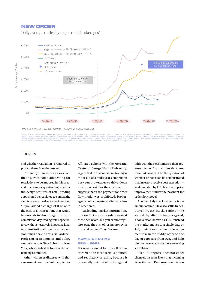# NEW ORDER

Daily average trades by major retail brokerages\*



Notes: E\*Trade definition of DARTs adjusted in November 2019 to reflect all customer-directed trades. Schwab monthly value estimated from weekly client trading activity report (13<br>weeks). Schwab value includes revenue, ass

# FIGURE 3

and whether regulation is required to protect them from themselves.

Testimony from witnesses was conflicting, with some advocating for restrictions to be imposed in this area, and one senator questioning whether the design features of retail trading apps should be regulated to combat the gamification appeal to young investors. "If you added a charge of 0.1% onto the cost of a transaction, that would be enough to discourage the zerocommission day-trading retail speculators, without negatively impacting longterm institutional investors like pension funds," says Teresa Ghilarducci, Professor of Economics and Policy Analysis at the New School in New York, who testified before the Senate Banking Committee.

Other witnesses disagree with that assessment. Andrew Vollmer, Senior Affiliated Scholar with the Mercatus Center at George Mason University, argues that zero-commission trading is the result of a multi-year competition between brokerages to drive down execution costs for the customer. He suggests that if the payment for order flow model was prohibited, brokerages would compete to eliminate fees in other areas.

"Misleading market information, misconduct — yes, regulate against those behaviors. But you cannot regulate away the risk of losing money in financial markets," says Vollmer.

# **ADMINISTRATIVE PRIVILEGES**

For now, payment for order flow has attracted the most serious political and regulatory scrutiny, because it potentially puts retail brokerages at odds with their customers if their revenue comes from wholesalers, not retail. At issue will be the question of whether or not it can be demonstrated that investors receive best execution as demanded by U.S. law — and price improvement under the payment for order flow model.

Another likely area for scrutiny is the amount of time it takes to settle trades. Currently, U.S. stocks settle on the second day after the trade is agreed, a convention known as T+2. If instead the market moves to a single day, or T+1, it might reduce the trade settlement risk in the middle office to one day of exposure from two, and help discourage some of the more worrying speculation.

Even if Congress does not enact changes, it seems likely that incoming Securities and Exchange Commission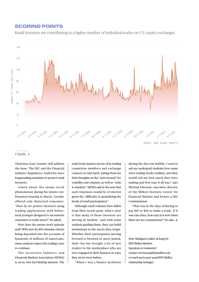# SCORING POINTS

Retail investors are contributing to a higher number of individual trades on U.S. equity exchanges



### FIGURE 4

Chairman Gary Gensler will address the issue. The SEC and the Financial Industry Regulatory Authority have longstanding mandates to protect retail investors.

Asked about the meme stock phenomenon during his Senate confirmation hearing in March, Gensler offered only rhetorical responses. "How do we protect investors using trading applications with behavioral prompts designed to incentivize customers to trade more?" he asked.

How does the meme stock episode end? With new \$1,400 stimulus checks being deposited into the accounts of hundreds of millions of Americans, many analysts expect the trading craze to continue.

The Securities Industry and Financial Markets Association (SIFMA) is on its own fact-finding mission. The

trade body issued a survey of its trading committee members and exchange contacts in mid-April, asking them for their thoughts on the "new normal" for volatility and volumes, as well as "risks to markets." SIFMA said in the note that such responses would be of interest given the "difficulty in quantifying the levels of retail participation."

Although retail volumes have fallen from their recent peak, what's clear is that many of those investors are moving in tandem - and with some analysis guiding them, they can build momentum in the stocks they target. Whether their participation moving forward is frenzied or more muted, their rise has brought a lot of new traders to the marketplace who are now engaged in their finances in ways they never were before.

"When I was a finance professor

during the dot.com bubble, I used to ask my undergrad students how many were trading stocks [online], and they would tell me how much they were making and how easy it all was," says Michael Piwowar, executive director of the Milken Institute Center for Financial Markets and former a SEC Commissioner.

"That was in the days of having to pay \$10 or \$20 to make a trade. If it was easy then, how easy is it now when there are no commissions?" he asks.

*Peter Madigan is editor-at-large for BNY Mellon Markets. Questions or comments? Contact ron.hooey@bnymellon.com or reach out to your usual BNY Mellon relationship manager.*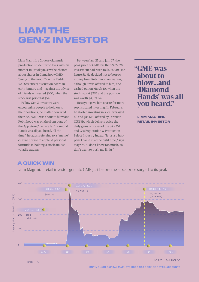# LIAM THE GEN-Z INVESTOR

Liam Magrini, a 21-year-old music production student who lives with his mother in Brooklyn, saw the chatter about shares in GameStop (GME) "going to the moon" on the Reddit WallStreetBets discussion board in early January and — against the advice of friends — invested \$100, when the stock was priced at \$54.

Fellow Gen-Z investors were encouraging people to hold on to their positions, no matter how wild the ride. "GME was about to blow and Robinhood was on the front page of the App Store," he recalls. "Diamond Hands was all you heard, all the time," he adds, referring to a "meme" culture phrase to applaud personal fortitude in holding a stock amidst volatile trading.

Between Jan. 25 and Jan. 27, the peak price of GME, his then-\$922.26 investment had risen to \$5,553.19 (see figure 5). He decided not to borrow money from Robinhood on margin, although it was offered to him, and cashed out on March 10, when the stock was at \$265 and the position was worth \$4,374.54.

He says it gave him a taste for more sophisticated investing. In February, he started investing in a 2x leveraged oil and gas ETF offered by Direxion (GUSH), which delivers twice the daily gains or losses of the S&P Oil and Gas Exploration & Production Select Industry Index. "It just so happens I came in at the right time," says Magrini. "I don't know too much, so I don't want to push my limits."

# **"GME was about to blow…and 'Diamond Hands' was all you heard."**

**LIAM MAGRINI, RETAIL INVESTOR**

# A QUICK WIN

Liam Magrini, a retail investor, got into GME just before the stock price surged to its peak



FIGURE 5

SOURCE: LIAM MAGRINI

**BNY MELLON CAPITAL MARKETS DOES NOT SERVICE RETAIL ACCOUNTS**